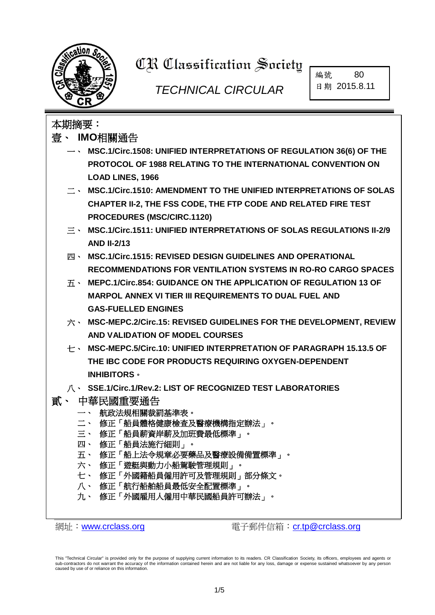

# **CR Classification Society**

## *TECHNICAL CIRCULAR*

編號 80 日期 2015.8.11

### 本期摘要: 壹、 **IMO**相關通告 一、 **MSC.1/Circ.1508: UNIFIED INTERPRETATIONS OF REGULATION 36(6) OF THE PROTOCOL OF 1988 RELATING TO THE INTERNATIONAL CONVENTION ON LOAD LINES, 1966** 二、 **MSC.1/Circ.1510: AMENDMENT TO THE UNIFIED INTERPRETATIONS OF SOLAS CHAPTER II-2, THE FSS CODE, THE FTP CODE AND RELATED FIRE TEST PROCEDURES (MSC/CIRC.1120)** 三、 **MSC.1/Circ.1511: UNIFIED INTERPRETATIONS OF SOLAS REGULATIONS II-2/9 AND II-2/13** 四、 **MSC.1/Circ.1515: REVISED DESIGN GUIDELINES AND OPERATIONAL RECOMMENDATIONS FOR VENTILATION SYSTEMS IN RO-RO CARGO SPACES** 五、 **MEPC.1/Circ.854: GUIDANCE ON THE APPLICATION OF REGULATION 13 OF MARPOL ANNEX VI TIER III REQUIREMENTS TO DUAL FUEL AND GAS-FUELLED ENGINES** 六、 **MSC-MEPC.2/Circ.15: REVISED GUIDELINES FOR THE DEVELOPMENT, REVIEW AND VALIDATION OF MODEL COURSES** 七、 **MSC-MEPC.5/Circ.10: UNIFIED INTERPRETATION OF PARAGRAPH 15.13.5 OF THE IBC CODE FOR PRODUCTS REQUIRING OXYGEN-DEPENDENT INHIBITORS**。 八、 **SSE.1/Circ.1/Rev.2: LIST OF RECOGNIZED TEST LABORATORIES** 貳、 中華民國重要通告 一、 航政法規相關裁罰基準表。 二、 修正「船員體格健康檢查及醫療機構指定辦法」。 三、 修正「船員薪資岸薪及加班費最低標準」。 四、 修正「船員法施行細則」。 五、 修正「船上法令規章必要藥品及醫療設備備置標準」。 六、 修正「遊艇與動力小船駕駛管理規則」。 七、 修正「外國籍船員僱用許可及管理規則」部分條文。 八、 修正「航行船舶船員最低安全配置標準」。 九、 修正「外國雇用人僱用中華民國船員許可辦法」。

網址:[www.crclass.org](http://www.crclass.org/) 電子郵件信箱:[cr.tp@crclass.org](mailto:cr.tp@crclass.org)

This "Technical Circular" is provided only for the purpose of supplying current information to its readers. CR Classification Society, its officers, employees and agents or sub-contractors do not warrant the accuracy of the information contained herein and are not liable for any loss, damage or expense sustained whatsoever by any person caused by use of or reliance on this information.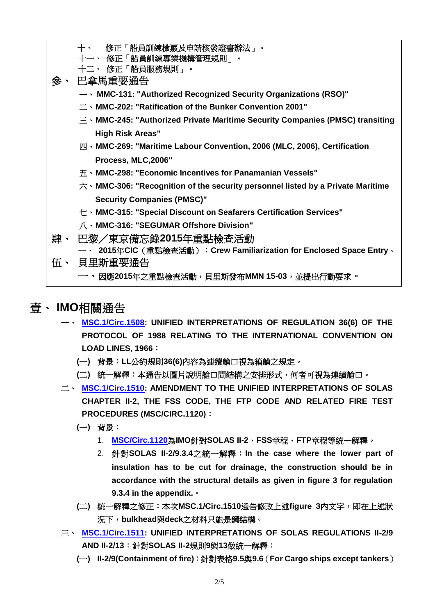

#### 壹、 **IMO**相關通告

- 一、 **[MSC.1/Circ.1508:](http://www.crclass.org/chinese/download/ti-tc/80/1-1%20MSC.1-Circ.1508%20.pdf) UNIFIED INTERPRETATIONS OF REGULATION 36(6) OF THE PROTOCOL OF 1988 RELATING TO THE INTERNATIONAL CONVENTION ON LOAD LINES, 1966**:
	- **(**一**)** 背景:**LL**公約規則**36(6)**內容為連續艙口視為箱艙之規定。
	- **(**二**)** 統一解釋:本通告以圖片說明艙口間結構之安排形式,何者可視為連續艙口。
- 二、 **[MSC.1/Circ.1510:](http://www.crclass.org/chinese/download/ti-tc/80/1-2%20MSC.1-Circ.1510.pdf) AMENDMENT TO THE UNIFIED INTERPRETATIONS OF SOLAS CHAPTER II-2, THE FSS CODE, THE FTP CODE AND RELATED FIRE TEST PROCEDURES (MSC/CIRC.1120)**:
	- **(**一**)** 背景:
		- 1. **[MSC/Circ.1120](http://www.crclass.org/chinese/download/ti-tc/80/1-3%20MSC-Circ.1120.pdf)**為**IMO**針對**SOLAS II-2**、**FSS**章程、**FTP**章程等統一解釋。
		- 2. 針對**SOLAS II-2/9.3.4**之統一解釋:**In the case where the lower part of insulation has to be cut for drainage, the construction should be in accordance with the structural details as given in figure 3 for regulation 9.3.4 in the appendix.**。
	- **(**二**)** 統一解釋之修正:本次**MSC.1/Circ.1510**通告修改上述**figure 3**內文字,即在上述狀 況下,**bulkhead**與**deck**之材料只能是鋼結構。
- 三、 **[MSC.1/Circ.1511:](http://www.crclass.org/chinese/download/ti-tc/80/1-4%20MSC.1-Circ.1511.pdf) UNIFIED INTERPRETATIONS OF SOLAS REGULATIONS II-2/9 AND II-2/13**:針對**SOLAS II-2**規則**9**與**13**做統一解釋:
	- **(**一**) II-2/9(Containment of fire)**:針對表格**9.5**與**9.6**(**For Cargo ships except tankers**)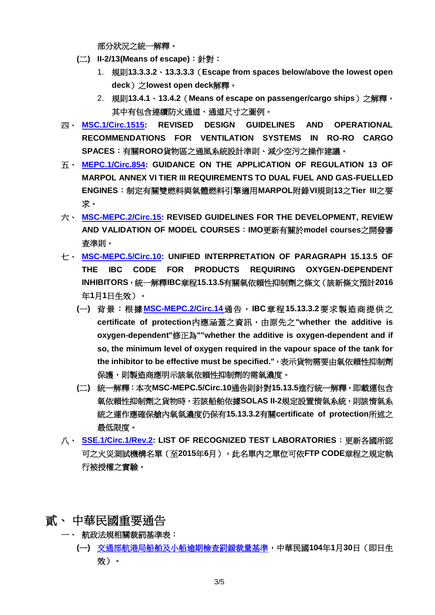部分狀況之統一解釋。

- **(二)** II-2/13(Means of escape): 針對:
	- 1. 規則**13.3.3.2**、**13.3.3.3**(**Escape from spaces below/above the lowest open deck**)之**lowest open deck**解釋。
	- 2. 規則**13.4.1**、**13.4.2**(**Means of escape on passenger/cargo ships**)之解釋, 其中有包含連續防火通道、通道尺寸之圖例。
- 四、 **[MSC.1/Circ.1515:](http://www.crclass.org/chinese/download/ti-tc/80/1-5%20MSC.1-Circ.1515.pdf) REVISED DESIGN GUIDELINES AND OPERATIONAL RECOMMENDATIONS FOR VENTILATION SYSTEMS IN RO-RO CARGO SPACES**:有關**RORO**貨物區之通風系統設計準則、減少空污之操作建議。
- 五、 **[MEPC.1/Circ.854:](http://www.crclass.org/chinese/download/ti-tc/80/1-6%20MEPC.1-Circ.854.pdf) GUIDANCE ON THE APPLICATION OF REGULATION 13 OF MARPOL ANNEX VI TIER III REQUIREMENTS TO DUAL FUEL AND GAS-FUELLED ENGINES**:制定有關雙燃料與氣體燃料引擎適用**MARPOL**附錄**VI**規則**13**之**Tier III**之要 求。
- 六、 **[MSC-MEPC.2/Circ.15:](http://www.crclass.org/chinese/download/ti-tc/80/1-7%20MSC-MEPC.2-Circ.15.pdf) REVISED GUIDELINES FOR THE DEVELOPMENT, REVIEW AND VALIDATION OF MODEL COURSES**:**IMO**更新有關於**model courses**之開發審 查準則。
- 七、 **[MSC-MEPC.5/Circ.10:](http://www.crclass.org/chinese/download/ti-tc/80/1-8%20MSC-MEPC.5-Circ.10.pdf) UNIFIED INTERPRETATION OF PARAGRAPH 15.13.5 OF THE IBC CODE FOR PRODUCTS REQUIRING OXYGEN-DEPENDENT INHIBITORS**,統一解釋**IBC**章程**15.13.5**有關氧依賴性抑制劑之條文(該新條文預計**2016** 年**1**月**1**日生效)。
	- **(**一**)** 背景:根據 **[MSC-MEPC.2/Circ.14](http://www.crclass.org/chinese/download/ti-tc/80/1-9%20MSC-MEPC.2-Circ.14%20.pdf)**通告,**IBC**章程**15.13.3.2**要求製造商提供之 **certificate of protection**內應涵蓋之資訊,由原先之**"whether the additive is oxygen-dependent"**修正為**""whether the additive is oxygen-dependent and if so, the minimum level of oxygen required in the vapour space of the tank for the inhibitor to be effective must be specified."**,表示貨物需要由氧依賴性抑制劑 保護,則製造商應明示該氧依賴性抑制劑的需氧濃度。
	- **(**二**)** 統一解釋:本次**MSC-MEPC.5/Circ.10**通告則針對**15.13.5**進行統一解釋,即載運包含 氧依賴性抑制劑之貨物時,若該船舶依據**SOLAS II-2**規定設置惰氣系統,則該惰氣系 統之運作應確保艙內氧氣濃度仍保有**15.13.3.2**有關**certificate of protection**所述之 最低限度。
- 八、 **[SSE.1/Circ.1/Rev.2:](http://www.crclass.org/chinese/download/ti-tc/80/1-10%20SSE.1-Circ.1-Rev.2%20.pdf) LIST OF RECOGNIZED TEST LABORATORIES**:更新各國所認 可之火災測試機構名單(至**2015**年**6**月),此名單內之單位可依**FTP CODE**章程之規定執 行被授權之實驗。
- 貳、 中華民國重要通告
	- 一、 航政法規相關裁罰基準表:
		- **(**一**)** [交通部航港局船舶及小船逾期檢查罰鍰裁量基準,](http://motclaw.motc.gov.tw/ShowMaster.aspx?LawID=H0138000)中華民國**104**年**1**月**30**日(即日生 效)。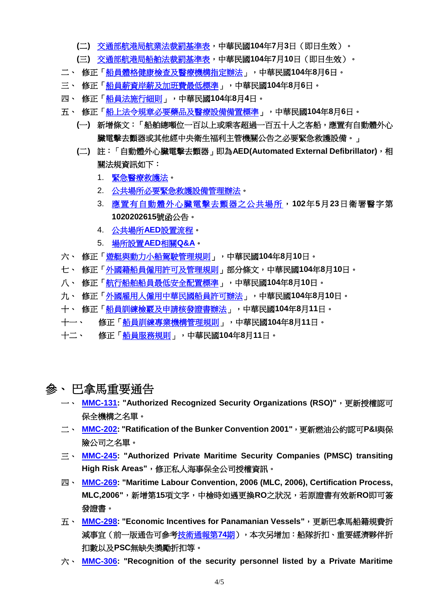- **(**二**)** [交通部航港局航業法裁罰基準表,](http://motclaw.motc.gov.tw/ShowMaster.aspx?LawID=H0141000)中華民國**104**年**7**月**3**日(即日生效)。
- **(**三**)** [交通部航港局船舶法裁罰基準表,](http://motclaw.motc.gov.tw/ShowMaster.aspx?LawID=H0142000)中華民國**104**年**7**月**10**日(即日生效)。
- 二、 修正[「船員體格健康檢查及醫療機構指定辦法」](http://odmdoc.motc.gov.tw/IFDEWebBBS_MOTC/ExternalBBS.aspx?ThirdDocId=104RD04773),中華民國**104**年**8**月**6**日。
- 三、 修正[「船員薪資岸薪及加班費最低標準」](http://odmdoc.motc.gov.tw/IFDEWebBBS_MOTC/ExternalBBS.aspx?ThirdDocId=104RD04771),中華民國**104**年**8**月**6**日。
- 四、 修正[「船員法施行細則」](http://odmdoc.motc.gov.tw/IFDEWebBBS_MOTC/ExternalBBS.aspx?ThirdDocId=104RD04718),中華民國**104**年**8**月**4**日。
- 五、 修正[「船上法令規章必要藥品及醫療設備備置標準」](http://odmdoc.motc.gov.tw/IFDEWebBBS_MOTC/ExternalBBS.aspx?ThirdDocId=104RD04770),中華民國**104**年**8**月**6**日。
	- **(**一**)** 新增條文:「船舶總噸位一百以上或乘客超過一百五十人之客船,應置有自動體外心 臟電擊去顫器或其他經中央衛生福利主管機關公告之必要緊急救護設備。」
	- **(**二**)** 註:「自動體外心臟電擊去顫器」即為**AED(Automated External Defibrillator)**,相 關法規資訊如下:
		- 1. [緊急醫療救護法。](http://law.moj.gov.tw/Law/LawSearchResult.aspx?p=A&t=A1A2E1F1&k1=%E7%B7%8A%E6%80%A5%E9%86%AB%E7%99%82%E6%95%91%E8%AD%B7%E6%B3%95)
		- 2. [公共場所必要緊急救護設備管理辦法。](http://law.moj.gov.tw/Law/LawSearchResult.aspx?p=A&t=A1A2E1F1&k1=%E5%85%AC%E5%85%B1%E5%A0%B4%E6%89%80%E5%BF%85%E8%A6%81%E7%B7%8A%E6%80%A5%E6%95%91%E8%AD%B7%E8%A8%AD%E5%82%99%E7%AE%A1%E7%90%86%E8%BE%A6%E6%B3%95)
		- 3. [應置有自動體外心臟電擊去顫器之公共場所,](http://tw-aed.mohw.gov.tw/ShowNews.jsp?NewsID=16)**102**年**5**月**23**日衛署醫字第 **1020202615**號函公告。
		- 4. 公共場所**AED**[設置流程。](http://tw-aed.mohw.gov.tw/ShowNews.jsp?NewsID=39)
		- 5. [場所設置](http://tw-aed.mohw.gov.tw/ShowNews.jsp?NewsID=32)**AED**相關**Q&A**。
- 六、 修正[「遊艇與動力小船駕駛管理規則」](http://odmdoc.motc.gov.tw/IFDEWebBBS_MOTC/ExternalBBS.aspx?ThirdDocId=104RD04860),中華民國**104**年**8**月**10**日。
- 七、 修正[「外國籍船員僱用許可及管理規則」](http://odmdoc.motc.gov.tw/IFDEWebBBS_MOTC/ExternalBBS.aspx?ThirdDocId=104RD04861)部分條文,中華民國**104**年**8**月**10**日。
- 八、 修正[「航行船舶船員最低安全配置標準」](http://odmdoc.motc.gov.tw/IFDEWebBBS_MOTC/ExternalBBS.aspx?ThirdDocId=104RD04863),中華民國**104**年**8**月**10**日。
- 九、 修正[「外國雇用人僱用中華民國船員許可辦法」](http://odmdoc.motc.gov.tw/IFDEWebBBS_MOTC/ExternalBBS.aspx?ThirdDocId=104RD04864),中華民國**104**年**8**月**10**日。
- 十、 修正[「船員訓練檢覈及申請核發證書辦法」](http://odmdoc.motc.gov.tw/IFDEWebBBS_MOTC/ExternalBBS.aspx?ThirdDocId=104RD04901),中華民國**104**年**8**月**11**日。
- 十一、 修正[「船員訓練專業機構管理規則」](http://odmdoc.motc.gov.tw/IFDEWebBBS_MOTC/ExternalBBS.aspx?ThirdDocId=104RD04900),中華民國**104**年**8**月**11**日。
- 十二、 修正[「船員服務規則」](http://odmdoc.motc.gov.tw/IFDEWebBBS_MOTC/ExternalBBS.aspx?ThirdDocId=104RD04899),中華民國**104**年**8**月**11**日。
- 參、 巴拿馬重要通告
	- 一、 **[MMC-131:](http://www.crclass.org/chinese/download/ti-tc/80/3-1%20MMC-131julio2015.pdf) "Authorized Recognized Security Organizations (RSO)"**,更新授權認可 保全機構之名單。
	- 二、 **[MMC-202:](http://www.crclass.org/chinese/download/ti-tc/80/3-2%20MMC-202august2015.pdf) "Ratification of the Bunker Convention 2001"**,更新燃油公約認可**P&I**與保 險公司之名單。
	- 三、 **[MMC-245:](http://www.crclass.org/chinese/download/ti-tc/80/3-3%20MMC-245-31july2015-completaNEW-modification.pdf) "Authorized Private Maritime Security Companies (PMSC) transiting High Risk Areas"**,修正私人海事保全公司授權資訊。
	- 四、 **[MMC-269:](http://www.crclass.org/chinese/download/ti-tc/80/3-4%20MMC-269-aug-20151.pdf) "Maritime Labour Convention, 2006 (MLC, 2006), Certification Process, MLC,2006"**,新增第**15**項文字,中檢時如遇更換**RO**之狀況,若原證書有效新**RO**即可簽 發證書。
	- 五、 **[MMC-298:](http://www.crclass.org/chinese/download/ti-tc/80/3-5%20MMC-298june20151.pdf) "Economic Incentives for Panamanian Vessels"**,更新巴拿馬船籍規費折 減事宜(前一版通告可參[考技術通報第](http://www.crclass.org/chinese/download/ti-tc/74/74.pdf)**74**期),本次另增加:船隊折扣、重要經濟夥伴折 扣數以及**PSC**無缺失獎勵折扣等。
	- 六、 **[MMC-306:](http://www.crclass.org/chinese/download/ti-tc/80/3-6%20MMC-306june2015.pdf) "Recognition of the security personnel listed by a Private Maritime**